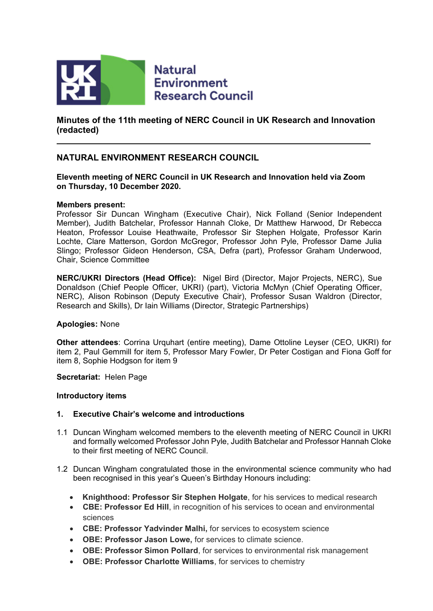

**Natural Environment Research Council** 

**Minutes of the 11th meeting of NERC Council in UK Research and Innovation (redacted)**

# **NATURAL ENVIRONMENT RESEARCH COUNCIL**

## **Eleventh meeting of NERC Council in UK Research and Innovation held via Zoom on Thursday, 10 December 2020.**

#### **Members present:**

Professor Sir Duncan Wingham (Executive Chair), Nick Folland (Senior Independent Member), Judith Batchelar, Professor Hannah Cloke, Dr Matthew Harwood, Dr Rebecca Heaton, Professor Louise Heathwaite, Professor Sir Stephen Holgate, Professor Karin Lochte, Clare Matterson, Gordon McGregor, Professor John Pyle, Professor Dame Julia Slingo; Professor Gideon Henderson, CSA, Defra (part), Professor Graham Underwood, Chair, Science Committee

**NERC/UKRI Directors (Head Office):** Nigel Bird (Director, Major Projects, NERC), Sue Donaldson (Chief People Officer, UKRI) (part), Victoria McMyn (Chief Operating Officer, NERC), Alison Robinson (Deputy Executive Chair), Professor Susan Waldron (Director, Research and Skills), Dr Iain Williams (Director, Strategic Partnerships)

#### **Apologies:** None

**Other attendees**: Corrina Urquhart (entire meeting), Dame Ottoline Leyser (CEO, UKRI) for item 2, Paul Gemmill for item 5, Professor Mary Fowler, Dr Peter Costigan and Fiona Goff for item 8, Sophie Hodgson for item 9

**Secretariat:** Helen Page

## **Introductory items**

## **1. Executive Chair's welcome and introductions**

- 1.1 Duncan Wingham welcomed members to the eleventh meeting of NERC Council in UKRI and formally welcomed Professor John Pyle, Judith Batchelar and Professor Hannah Cloke to their first meeting of NERC Council.
- 1.2 Duncan Wingham congratulated those in the environmental science community who had been recognised in this year's Queen's Birthday Honours including:
	- **Knighthood: Professor Sir Stephen Holgate**, for his services to medical research
	- **CBE: Professor Ed Hill**, in recognition of his services to ocean and environmental sciences
	- **CBE: Professor Yadvinder Malhi,** for services to ecosystem science
	- **OBE: Professor Jason Lowe,** for services to climate science.
	- **OBE: Professor Simon Pollard**, for services to environmental risk management
	- **OBE: Professor Charlotte Williams**, for services to chemistry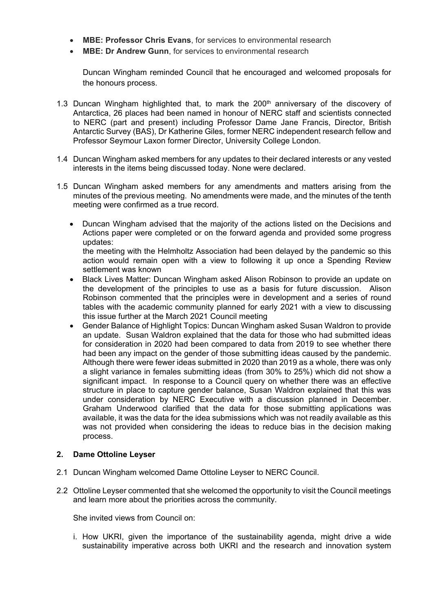- **MBE: Professor Chris Evans**, for services to environmental research
- **MBE: Dr Andrew Gunn**, for services to environmental research

Duncan Wingham reminded Council that he encouraged and welcomed proposals for the honours process.

- 1.3 Duncan Wingham highlighted that, to mark the  $200<sup>th</sup>$  anniversary of the discovery of Antarctica, 26 places had been named in honour of NERC staff and scientists connected to NERC (part and present) including Professor Dame Jane Francis, Director, British Antarctic Survey (BAS), Dr Katherine Giles, former NERC independent research fellow and Professor Seymour Laxon former Director, University College London.
- 1.4 Duncan Wingham asked members for any updates to their declared interests or any vested interests in the items being discussed today. None were declared.
- 1.5 Duncan Wingham asked members for any amendments and matters arising from the minutes of the previous meeting. No amendments were made, and the minutes of the tenth meeting were confirmed as a true record.
	- Duncan Wingham advised that the majority of the actions listed on the Decisions and Actions paper were completed or on the forward agenda and provided some progress updates:

the meeting with the Helmholtz Association had been delayed by the pandemic so this action would remain open with a view to following it up once a Spending Review settlement was known

- Black Lives Matter: Duncan Wingham asked Alison Robinson to provide an update on the development of the principles to use as a basis for future discussion. Alison Robinson commented that the principles were in development and a series of round tables with the academic community planned for early 2021 with a view to discussing this issue further at the March 2021 Council meeting
- Gender Balance of Highlight Topics: Duncan Wingham asked Susan Waldron to provide an update. Susan Waldron explained that the data for those who had submitted ideas for consideration in 2020 had been compared to data from 2019 to see whether there had been any impact on the gender of those submitting ideas caused by the pandemic. Although there were fewer ideas submitted in 2020 than 2019 as a whole, there was only a slight variance in females submitting ideas (from 30% to 25%) which did not show a significant impact. In response to a Council query on whether there was an effective structure in place to capture gender balance, Susan Waldron explained that this was under consideration by NERC Executive with a discussion planned in December. Graham Underwood clarified that the data for those submitting applications was available, it was the data for the idea submissions which was not readily available as this was not provided when considering the ideas to reduce bias in the decision making process.

## **2. Dame Ottoline Leyser**

- 2.1 Duncan Wingham welcomed Dame Ottoline Leyser to NERC Council.
- 2.2 Ottoline Leyser commented that she welcomed the opportunity to visit the Council meetings and learn more about the priorities across the community.

She invited views from Council on:

i. How UKRI, given the importance of the sustainability agenda, might drive a wide sustainability imperative across both UKRI and the research and innovation system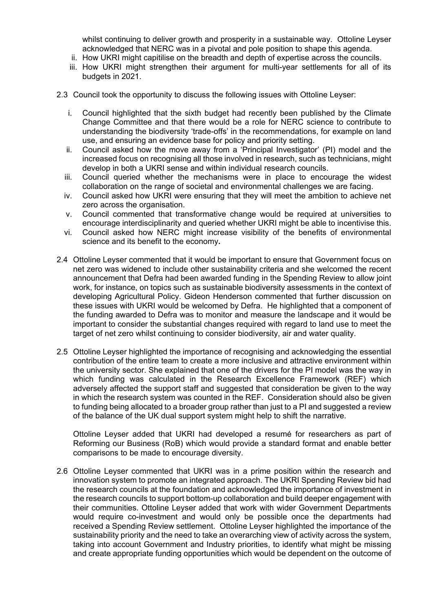whilst continuing to deliver growth and prosperity in a sustainable way. Ottoline Leyser acknowledged that NERC was in a pivotal and pole position to shape this agenda.

- ii. How UKRI might capitilise on the breadth and depth of expertise across the councils.
- iii. How UKRI might strengthen their argument for multi-year settlements for all of its budgets in 2021.
- 2.3 Council took the opportunity to discuss the following issues with Ottoline Leyser:
	- i. Council highlighted that the sixth budget had recently been published by the Climate Change Committee and that there would be a role for NERC science to contribute to understanding the biodiversity 'trade-offs' in the recommendations, for example on land use, and ensuring an evidence base for policy and priority setting.
	- ii. Council asked how the move away from a 'Principal Investigator' (PI) model and the increased focus on recognising all those involved in research, such as technicians, might develop in both a UKRI sense and within individual research councils.
	- iii. Council queried whether the mechanisms were in place to encourage the widest collaboration on the range of societal and environmental challenges we are facing.
	- iv. Council asked how UKRI were ensuring that they will meet the ambition to achieve net zero across the organisation.
	- v. Council commented that transformative change would be required at universities to encourage interdisciplinarity and queried whether UKRI might be able to incentivise this.
	- vi. Council asked how NERC might increase visibility of the benefits of environmental science and its benefit to the economy**.**
- 2.4 Ottoline Leyser commented that it would be important to ensure that Government focus on net zero was widened to include other sustainability criteria and she welcomed the recent announcement that Defra had been awarded funding in the Spending Review to allow joint work, for instance, on topics such as sustainable biodiversity assessments in the context of developing Agricultural Policy. Gideon Henderson commented that further discussion on these issues with UKRI would be welcomed by Defra. He highlighted that a component of the funding awarded to Defra was to monitor and measure the landscape and it would be important to consider the substantial changes required with regard to land use to meet the target of net zero whilst continuing to consider biodiversity, air and water quality.
- 2.5 Ottoline Leyser highlighted the importance of recognising and acknowledging the essential contribution of the entire team to create a more inclusive and attractive environment within the university sector. She explained that one of the drivers for the PI model was the way in which funding was calculated in the Research Excellence Framework (REF) which adversely affected the support staff and suggested that consideration be given to the way in which the research system was counted in the REF. Consideration should also be given to funding being allocated to a broader group rather than just to a PI and suggested a review of the balance of the UK dual support system might help to shift the narrative.

Ottoline Leyser added that UKRI had developed a resumé for researchers as part of Reforming our Business (RoB) which would provide a standard format and enable better comparisons to be made to encourage diversity.

2.6 Ottoline Leyser commented that UKRI was in a prime position within the research and innovation system to promote an integrated approach. The UKRI Spending Review bid had the research councils at the foundation and acknowledged the importance of investment in the research councils to support bottom-up collaboration and build deeper engagement with their communities. Ottoline Leyser added that work with wider Government Departments would require co-investment and would only be possible once the departments had received a Spending Review settlement. Ottoline Leyser highlighted the importance of the sustainability priority and the need to take an overarching view of activity across the system, taking into account Government and Industry priorities, to identify what might be missing and create appropriate funding opportunities which would be dependent on the outcome of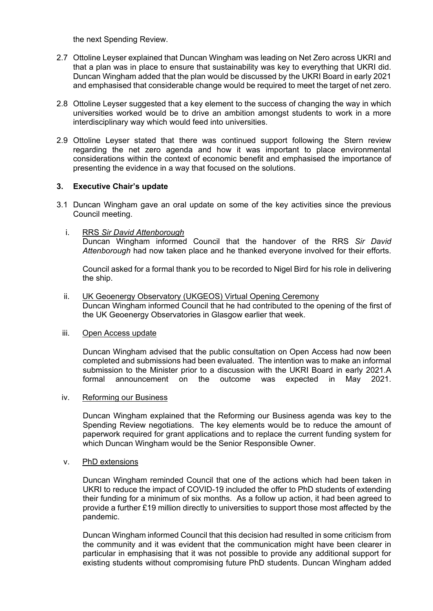the next Spending Review.

- 2.7 Ottoline Leyser explained that Duncan Wingham was leading on Net Zero across UKRI and that a plan was in place to ensure that sustainability was key to everything that UKRI did. Duncan Wingham added that the plan would be discussed by the UKRI Board in early 2021 and emphasised that considerable change would be required to meet the target of net zero.
- 2.8 Ottoline Leyser suggested that a key element to the success of changing the way in which universities worked would be to drive an ambition amongst students to work in a more interdisciplinary way which would feed into universities.
- 2.9 Ottoline Leyser stated that there was continued support following the Stern review regarding the net zero agenda and how it was important to place environmental considerations within the context of economic benefit and emphasised the importance of presenting the evidence in a way that focused on the solutions.

## **3. Executive Chair's update**

3.1 Duncan Wingham gave an oral update on some of the key activities since the previous Council meeting.

## i. RRS *Sir David Attenborough*

Duncan Wingham informed Council that the handover of the RRS *Sir David Attenborough* had now taken place and he thanked everyone involved for their efforts.

Council asked for a formal thank you to be recorded to Nigel Bird for his role in delivering the ship.

#### ii. UK Geoenergy Observatory (UKGEOS) Virtual Opening Ceremony

Duncan Wingham informed Council that he had contributed to the opening of the first of the UK Geoenergy Observatories in Glasgow earlier that week.

#### iii. Open Access update

Duncan Wingham advised that the public consultation on Open Access had now been completed and submissions had been evaluated. The intention was to make an informal submission to the Minister prior to a discussion with the UKRI Board in early 2021.A formal announcement on the outcome was expected in May 2021.

#### iv. Reforming our Business

Duncan Wingham explained that the Reforming our Business agenda was key to the Spending Review negotiations. The key elements would be to reduce the amount of paperwork required for grant applications and to replace the current funding system for which Duncan Wingham would be the Senior Responsible Owner.

#### v. PhD extensions

Duncan Wingham reminded Council that one of the actions which had been taken in UKRI to reduce the impact of COVID-19 included the offer to PhD students of extending their funding for a minimum of six months. As a follow up action, it had been agreed to provide a further £19 million directly to universities to support those most affected by the pandemic.

Duncan Wingham informed Council that this decision had resulted in some criticism from the community and it was evident that the communication might have been clearer in particular in emphasising that it was not possible to provide any additional support for existing students without compromising future PhD students. Duncan Wingham added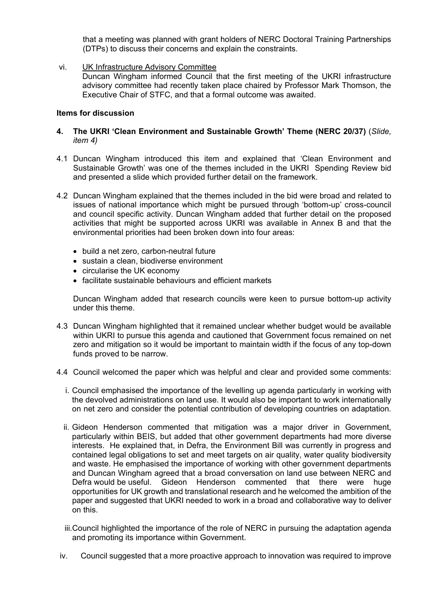that a meeting was planned with grant holders of NERC Doctoral Training Partnerships (DTPs) to discuss their concerns and explain the constraints.

vi. UK Infrastructure Advisory Committee

Duncan Wingham informed Council that the first meeting of the UKRI infrastructure advisory committee had recently taken place chaired by Professor Mark Thomson, the Executive Chair of STFC, and that a formal outcome was awaited.

#### **Items for discussion**

- **4. The UKRI 'Clean Environment and Sustainable Growth' Theme (NERC 20/37)** (*Slide, item 4)*
- 4.1 Duncan Wingham introduced this item and explained that 'Clean Environment and Sustainable Growth' was one of the themes included in the UKRI Spending Review bid and presented a slide which provided further detail on the framework.
- 4.2 Duncan Wingham explained that the themes included in the bid were broad and related to issues of national importance which might be pursued through 'bottom-up' cross-council and council specific activity. Duncan Wingham added that further detail on the proposed activities that might be supported across UKRI was available in Annex B and that the environmental priorities had been broken down into four areas:
	- build a net zero, carbon-neutral future
	- sustain a clean, biodiverse environment
	- circularise the UK economy
	- facilitate sustainable behaviours and efficient markets

Duncan Wingham added that research councils were keen to pursue bottom-up activity under this theme.

- 4.3 Duncan Wingham highlighted that it remained unclear whether budget would be available within UKRI to pursue this agenda and cautioned that Government focus remained on net zero and mitigation so it would be important to maintain width if the focus of any top-down funds proved to be narrow.
- 4.4 Council welcomed the paper which was helpful and clear and provided some comments:
	- i. Council emphasised the importance of the levelling up agenda particularly in working with the devolved administrations on land use. It would also be important to work internationally on net zero and consider the potential contribution of developing countries on adaptation.
	- ii. Gideon Henderson commented that mitigation was a major driver in Government, particularly within BEIS, but added that other government departments had more diverse interests. He explained that, in Defra, the Environment Bill was currently in progress and contained legal obligations to set and meet targets on air quality, water quality biodiversity and waste. He emphasised the importance of working with other government departments and Duncan Wingham agreed that a broad conversation on land use between NERC and Defra would be useful. Gideon Henderson commented that there were huge opportunities for UK growth and translational research and he welcomed the ambition of the paper and suggested that UKRI needed to work in a broad and collaborative way to deliver on this.
	- iii.Council highlighted the importance of the role of NERC in pursuing the adaptation agenda and promoting its importance within Government.
- iv. Council suggested that a more proactive approach to innovation was required to improve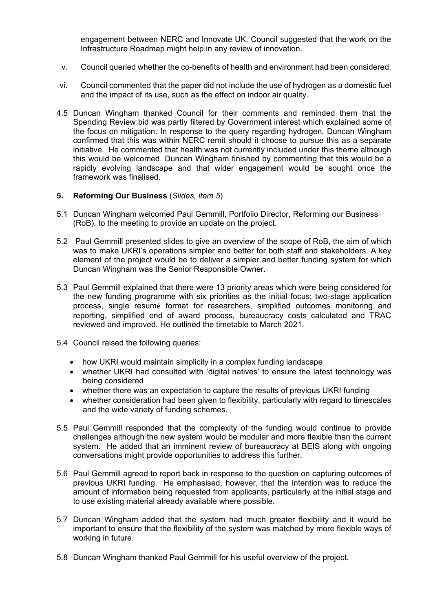engagement between NERC and Innovate UK. Council suggested that the work on the Infrastructure Roadmap might help in any review of innovation.

- v. Council queried whether the co-benefits of health and environment had been considered.
- vi. Council commented that the paper did not include the use of hydrogen as a domestic fuel and the impact of its use, such as the effect on indoor air quality.
- 4.5 Duncan Wingham thanked Council for their comments and reminded them that the Spending Review bid was partly filtered by Government interest which explained some of the focus on mitigation. In response to the query regarding hydrogen, Duncan Wingham confirmed that this was within NERC remit should it choose to pursue this as a separate initiative. He commented that health was not currently included under this theme although this would be welcomed. Duncan Wingham finished by commenting that this would be a rapidly evolving landscape and that wider engagement would be sought once the framework was finalised.

## **5. Reforming Our Business** (*Slides, item 5*)

- 5.1 Duncan Wingham welcomed Paul Gemmill, Portfolio Director, Reforming our Business (RoB), to the meeting to provide an update on the project.
- 5.2 Paul Gemmill presented slides to give an overview of the scope of RoB, the aim of which was to make UKRI's operations simpler and better for both staff and stakeholders. A key element of the project would be to deliver a simpler and better funding system for which Duncan Wingham was the Senior Responsible Owner.
- 5.3 Paul Gemmill explained that there were 13 priority areas which were being considered for the new funding programme with six priorities as the initial focus; two-stage application process, single resumé format for researchers, simplified outcomes monitoring and reporting, simplified end of award process, bureaucracy costs calculated and TRAC reviewed and improved. He outlined the timetable to March 2021.
- 5.4 Council raised the following queries:
	- how UKRI would maintain simplicity in a complex funding landscape
	- whether UKRI had consulted with 'digital natives' to ensure the latest technology was being considered
	- whether there was an expectation to capture the results of previous UKRI funding
	- whether consideration had been given to flexibility, particularly with regard to timescales and the wide variety of funding schemes.
- 5.5 Paul Gemmill responded that the complexity of the funding would continue to provide challenges although the new system would be modular and more flexible than the current system. He added that an imminent review of bureaucracy at BEIS along with ongoing conversations might provide opportunities to address this further.
- 5.6 Paul Gemmill agreed to report back in response to the question on capturing outcomes of previous UKRI funding. He emphasised, however, that the intention was to reduce the amount of information being requested from applicants, particularly at the initial stage and to use existing material already available where possible.
- 5.7 Duncan Wingham added that the system had much greater flexibility and it would be important to ensure that the flexibility of the system was matched by more flexible ways of working in future.
- 5.8 Duncan Wingham thanked Paul Gemmill for his useful overview of the project.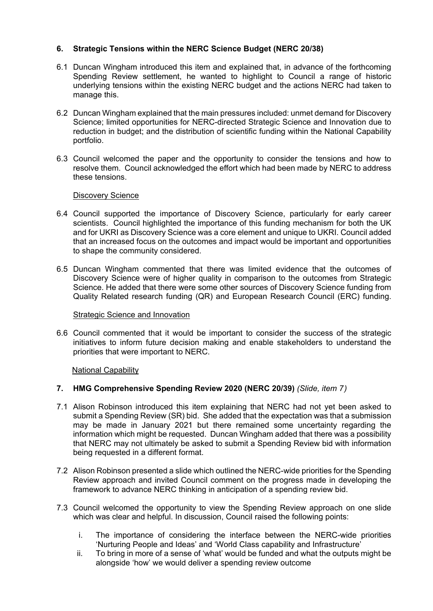# **6. Strategic Tensions within the NERC Science Budget (NERC 20/38)**

- 6.1 Duncan Wingham introduced this item and explained that, in advance of the forthcoming Spending Review settlement, he wanted to highlight to Council a range of historic underlying tensions within the existing NERC budget and the actions NERC had taken to manage this.
- 6.2 Duncan Wingham explained that the main pressures included: unmet demand for Discovery Science; limited opportunities for NERC-directed Strategic Science and Innovation due to reduction in budget; and the distribution of scientific funding within the National Capability portfolio.
- 6.3 Council welcomed the paper and the opportunity to consider the tensions and how to resolve them. Council acknowledged the effort which had been made by NERC to address these tensions.

## Discovery Science

- 6.4 Council supported the importance of Discovery Science, particularly for early career scientists. Council highlighted the importance of this funding mechanism for both the UK and for UKRI as Discovery Science was a core element and unique to UKRI. Council added that an increased focus on the outcomes and impact would be important and opportunities to shape the community considered.
- 6.5 Duncan Wingham commented that there was limited evidence that the outcomes of Discovery Science were of higher quality in comparison to the outcomes from Strategic Science. He added that there were some other sources of Discovery Science funding from Quality Related research funding (QR) and European Research Council (ERC) funding.

#### Strategic Science and Innovation

6.6 Council commented that it would be important to consider the success of the strategic initiatives to inform future decision making and enable stakeholders to understand the priorities that were important to NERC.

## National Capability

## **7. HMG Comprehensive Spending Review 2020 (NERC 20/39)** *(Slide, item 7)*

- 7.1 Alison Robinson introduced this item explaining that NERC had not yet been asked to submit a Spending Review (SR) bid. She added that the expectation was that a submission may be made in January 2021 but there remained some uncertainty regarding the information which might be requested. Duncan Wingham added that there was a possibility that NERC may not ultimately be asked to submit a Spending Review bid with information being requested in a different format.
- 7.2 Alison Robinson presented a slide which outlined the NERC-wide priorities for the Spending Review approach and invited Council comment on the progress made in developing the framework to advance NERC thinking in anticipation of a spending review bid.
- 7.3 Council welcomed the opportunity to view the Spending Review approach on one slide which was clear and helpful. In discussion, Council raised the following points:
	- i. The importance of considering the interface between the NERC-wide priorities 'Nurturing People and Ideas' and 'World Class capability and Infrastructure'
	- ii. To bring in more of a sense of 'what' would be funded and what the outputs might be alongside 'how' we would deliver a spending review outcome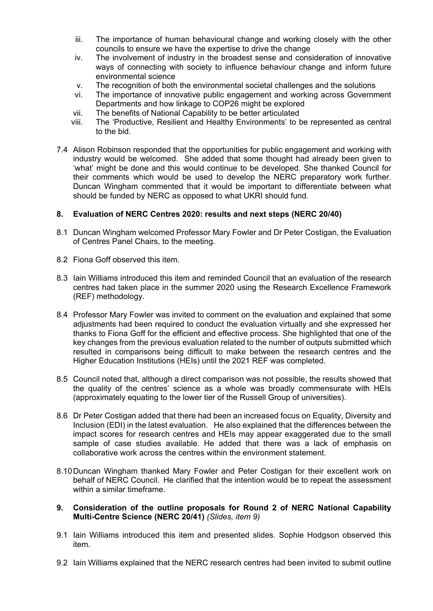- iii. The importance of human behavioural change and working closely with the other councils to ensure we have the expertise to drive the change
- iv. The involvement of industry in the broadest sense and consideration of innovative ways of connecting with society to influence behaviour change and inform future environmental science
- v. The recognition of both the environmental societal challenges and the solutions
- vi. The importance of innovative public engagement and working across Government Departments and how linkage to COP26 might be explored
- vii. The benefits of National Capability to be better articulated
- viii. The 'Productive, Resilient and Healthy Environments' to be represented as central to the bid.
- 7.4 Alison Robinson responded that the opportunities for public engagement and working with industry would be welcomed. She added that some thought had already been given to 'what' might be done and this would continue to be developed. She thanked Council for their comments which would be used to develop the NERC preparatory work further. Duncan Wingham commented that it would be important to differentiate between what should be funded by NERC as opposed to what UKRI should fund.

# **8. Evaluation of NERC Centres 2020: results and next steps (NERC 20/40)**

- 8.1 Duncan Wingham welcomed Professor Mary Fowler and Dr Peter Costigan, the Evaluation of Centres Panel Chairs, to the meeting.
- 8.2 Fiona Goff observed this item.
- 8.3 Iain Williams introduced this item and reminded Council that an evaluation of the research centres had taken place in the summer 2020 using the Research Excellence Framework (REF) methodology.
- 8.4 Professor Mary Fowler was invited to comment on the evaluation and explained that some adjustments had been required to conduct the evaluation virtually and she expressed her thanks to Fiona Goff for the efficient and effective process. She highlighted that one of the key changes from the previous evaluation related to the number of outputs submitted which resulted in comparisons being difficult to make between the research centres and the Higher Education Institutions (HEIs) until the 2021 REF was completed.
- 8.5 Council noted that, although a direct comparison was not possible, the results showed that the quality of the centres' science as a whole was broadly commensurate with HEIs (approximately equating to the lower tier of the Russell Group of universities).
- 8.6 Dr Peter Costigan added that there had been an increased focus on Equality, Diversity and Inclusion (EDI) in the latest evaluation. He also explained that the differences between the impact scores for research centres and HEIs may appear exaggerated due to the small sample of case studies available. He added that there was a lack of emphasis on collaborative work across the centres within the environment statement.
- 8.10Duncan Wingham thanked Mary Fowler and Peter Costigan for their excellent work on behalf of NERC Council. He clarified that the intention would be to repeat the assessment within a similar timeframe.
- **9. Consideration of the outline proposals for Round 2 of NERC National Capability Multi-Centre Science (NERC 20/41)** *(Slides, item 9)*
- 9.1 Iain Williams introduced this item and presented slides. Sophie Hodgson observed this item.
- 9.2 Iain Williams explained that the NERC research centres had been invited to submit outline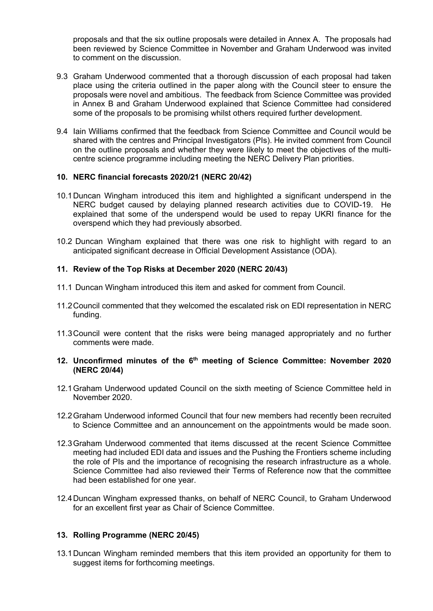proposals and that the six outline proposals were detailed in Annex A. The proposals had been reviewed by Science Committee in November and Graham Underwood was invited to comment on the discussion.

- 9.3 Graham Underwood commented that a thorough discussion of each proposal had taken place using the criteria outlined in the paper along with the Council steer to ensure the proposals were novel and ambitious. The feedback from Science Committee was provided in Annex B and Graham Underwood explained that Science Committee had considered some of the proposals to be promising whilst others required further development.
- 9.4 Iain Williams confirmed that the feedback from Science Committee and Council would be shared with the centres and Principal Investigators (PIs). He invited comment from Council on the outline proposals and whether they were likely to meet the objectives of the multicentre science programme including meeting the NERC Delivery Plan priorities.

## **10. NERC financial forecasts 2020/21 (NERC 20/42)**

- 10.1Duncan Wingham introduced this item and highlighted a significant underspend in the NERC budget caused by delaying planned research activities due to COVID-19. He explained that some of the underspend would be used to repay UKRI finance for the overspend which they had previously absorbed.
- 10.2 Duncan Wingham explained that there was one risk to highlight with regard to an anticipated significant decrease in Official Development Assistance (ODA).

#### **11. Review of the Top Risks at December 2020 (NERC 20/43)**

- 11.1 Duncan Wingham introduced this item and asked for comment from Council.
- 11.2Council commented that they welcomed the escalated risk on EDI representation in NERC funding.
- 11.3Council were content that the risks were being managed appropriately and no further comments were made.

#### **12. Unconfirmed minutes of the 6th meeting of Science Committee: November 2020 (NERC 20/44)**

- 12.1Graham Underwood updated Council on the sixth meeting of Science Committee held in November 2020.
- 12.2Graham Underwood informed Council that four new members had recently been recruited to Science Committee and an announcement on the appointments would be made soon.
- 12.3Graham Underwood commented that items discussed at the recent Science Committee meeting had included EDI data and issues and the Pushing the Frontiers scheme including the role of PIs and the importance of recognising the research infrastructure as a whole. Science Committee had also reviewed their Terms of Reference now that the committee had been established for one year.
- 12.4Duncan Wingham expressed thanks, on behalf of NERC Council, to Graham Underwood for an excellent first year as Chair of Science Committee.

## **13. Rolling Programme (NERC 20/45)**

13.1Duncan Wingham reminded members that this item provided an opportunity for them to suggest items for forthcoming meetings.